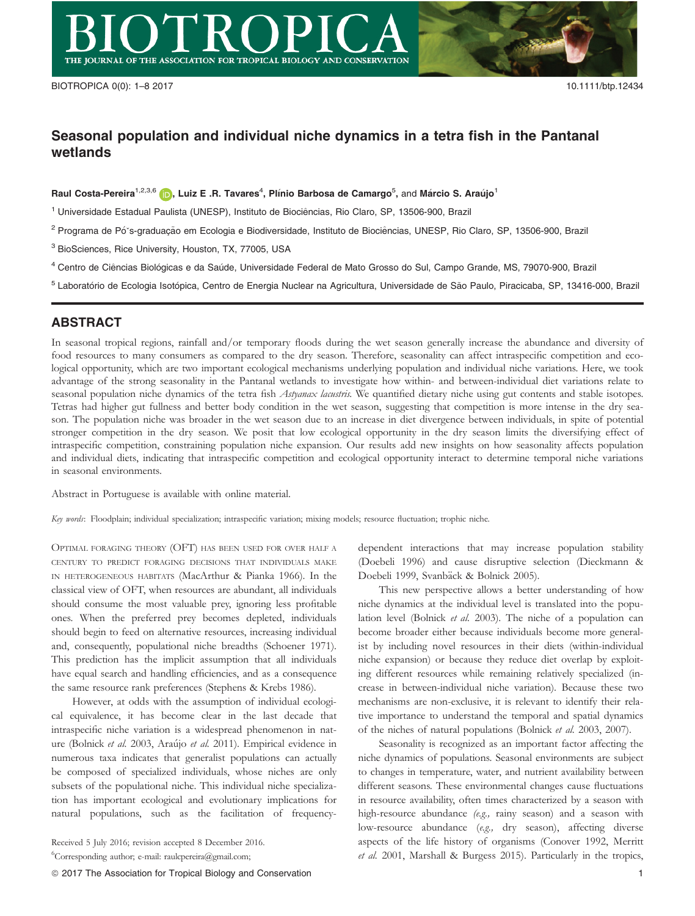# Seasonal population and individual niche dynamics in a tetra fish in the Pantanal wetlands

#### Raul Costa-Pereira<sup>1,2,3,6</sup> (D), Luiz E .R. Tavares<sup>4</sup>, Plínio Barbosa de Camargo<sup>5</sup>, and Márcio S. Araújo<sup>1</sup>

<sup>1</sup> Universidade Estadual Paulista (UNESP), Instituto de Biociencias, Rio Claro, SP, 13506-900, Brazil ^

<sup>2</sup> Programa de Pó<sup>x</sup>s-graduação em Ecologia e Biodiversidade, Instituto de Biociências, UNESP, Rio Claro, SP, 13506-900, Brazil

<sup>3</sup> BioSciences, Rice University, Houston, TX, 77005, USA

 $4$  Centro de Ciências Biológicas e da Saúde, Universidade Federal de Mato Grosso do Sul, Campo Grande, MS, 79070-900, Brazil

<sup>5</sup> Laboratório de Ecologia Isotópica, Centro de Energia Nuclear na Agricultura, Universidade de São Paulo, Piracicaba, SP, 13416-000, Brazil

## ABSTRACT

In seasonal tropical regions, rainfall and/or temporary floods during the wet season generally increase the abundance and diversity of food resources to many consumers as compared to the dry season. Therefore, seasonality can affect intraspecific competition and ecological opportunity, which are two important ecological mechanisms underlying population and individual niche variations. Here, we took advantage of the strong seasonality in the Pantanal wetlands to investigate how within- and between-individual diet variations relate to seasonal population niche dynamics of the tetra fish Astyanax lacustris. We quantified dietary niche using gut contents and stable isotopes. Tetras had higher gut fullness and better body condition in the wet season, suggesting that competition is more intense in the dry season. The population niche was broader in the wet season due to an increase in diet divergence between individuals, in spite of potential stronger competition in the dry season. We posit that low ecological opportunity in the dry season limits the diversifying effect of intraspecific competition, constraining population niche expansion. Our results add new insights on how seasonality affects population and individual diets, indicating that intraspecific competition and ecological opportunity interact to determine temporal niche variations in seasonal environments.

Abstract in Portuguese is available with online material.

Key words: Floodplain; individual specialization; intraspecific variation; mixing models; resource fluctuation; trophic niche.

OPTIMAL FORAGING THEORY (OFT) HAS BEEN USED FOR OVER HALF A CENTURY TO PREDICT FORAGING DECISIONS THAT INDIVIDUALS MAKE IN HETEROGENEOUS HABITATS (MacArthur & Pianka 1966). In the classical view of OFT, when resources are abundant, all individuals should consume the most valuable prey, ignoring less profitable ones. When the preferred prey becomes depleted, individuals should begin to feed on alternative resources, increasing individual and, consequently, populational niche breadths (Schoener 1971). This prediction has the implicit assumption that all individuals have equal search and handling efficiencies, and as a consequence the same resource rank preferences (Stephens & Krebs 1986).

However, at odds with the assumption of individual ecological equivalence, it has become clear in the last decade that intraspecific niche variation is a widespread phenomenon in nature (Bolnick et al. 2003, Araújo et al. 2011). Empirical evidence in numerous taxa indicates that generalist populations can actually be composed of specialized individuals, whose niches are only subsets of the populational niche. This individual niche specialization has important ecological and evolutionary implications for natural populations, such as the facilitation of frequency-

Received 5 July 2016; revision accepted 8 December 2016. 6 Corresponding author; e-mail: raulcpereira@gmail.com; ª 2017 The Association for Tropical Biology and Conservation 1

dependent interactions that may increase population stability (Doebeli 1996) and cause disruptive selection (Dieckmann & Doebeli 1999, Svanbäck & Bolnick 2005).

This new perspective allows a better understanding of how niche dynamics at the individual level is translated into the population level (Bolnick et al. 2003). The niche of a population can become broader either because individuals become more generalist by including novel resources in their diets (within-individual niche expansion) or because they reduce diet overlap by exploiting different resources while remaining relatively specialized (increase in between-individual niche variation). Because these two mechanisms are non-exclusive, it is relevant to identify their relative importance to understand the temporal and spatial dynamics of the niches of natural populations (Bolnick et al. 2003, 2007).

Seasonality is recognized as an important factor affecting the niche dynamics of populations. Seasonal environments are subject to changes in temperature, water, and nutrient availability between different seasons. These environmental changes cause fluctuations in resource availability, often times characterized by a season with high-resource abundance (e.g., rainy season) and a season with low-resource abundance (e.g., dry season), affecting diverse aspects of the life history of organisms (Conover 1992, Merritt et al. 2001, Marshall & Burgess 2015). Particularly in the tropics,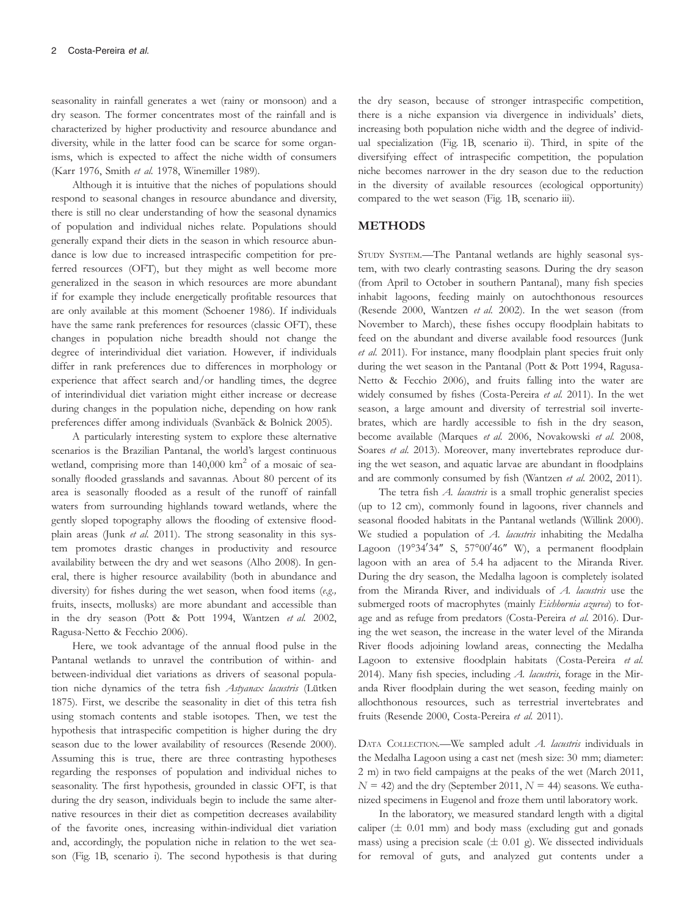seasonality in rainfall generates a wet (rainy or monsoon) and a dry season. The former concentrates most of the rainfall and is characterized by higher productivity and resource abundance and diversity, while in the latter food can be scarce for some organisms, which is expected to affect the niche width of consumers (Karr 1976, Smith et al. 1978, Winemiller 1989).

Although it is intuitive that the niches of populations should respond to seasonal changes in resource abundance and diversity, there is still no clear understanding of how the seasonal dynamics of population and individual niches relate. Populations should generally expand their diets in the season in which resource abundance is low due to increased intraspecific competition for preferred resources (OFT), but they might as well become more generalized in the season in which resources are more abundant if for example they include energetically profitable resources that are only available at this moment (Schoener 1986). If individuals have the same rank preferences for resources (classic OFT), these changes in population niche breadth should not change the degree of interindividual diet variation. However, if individuals differ in rank preferences due to differences in morphology or experience that affect search and/or handling times, the degree of interindividual diet variation might either increase or decrease during changes in the population niche, depending on how rank preferences differ among individuals (Svanbäck & Bolnick 2005).

A particularly interesting system to explore these alternative scenarios is the Brazilian Pantanal, the world's largest continuous wetland, comprising more than  $140,000 \text{ km}^2$  of a mosaic of seasonally flooded grasslands and savannas. About 80 percent of its area is seasonally flooded as a result of the runoff of rainfall waters from surrounding highlands toward wetlands, where the gently sloped topography allows the flooding of extensive floodplain areas (Junk et al. 2011). The strong seasonality in this system promotes drastic changes in productivity and resource availability between the dry and wet seasons (Alho 2008). In general, there is higher resource availability (both in abundance and diversity) for fishes during the wet season, when food items (e.g., fruits, insects, mollusks) are more abundant and accessible than in the dry season (Pott & Pott 1994, Wantzen et al. 2002, Ragusa-Netto & Fecchio 2006).

Here, we took advantage of the annual flood pulse in the Pantanal wetlands to unravel the contribution of within- and between-individual diet variations as drivers of seasonal population niche dynamics of the tetra fish Astyanax lacustris (Lütken 1875). First, we describe the seasonality in diet of this tetra fish using stomach contents and stable isotopes. Then, we test the hypothesis that intraspecific competition is higher during the dry season due to the lower availability of resources (Resende 2000). Assuming this is true, there are three contrasting hypotheses regarding the responses of population and individual niches to seasonality. The first hypothesis, grounded in classic OFT, is that during the dry season, individuals begin to include the same alternative resources in their diet as competition decreases availability of the favorite ones, increasing within-individual diet variation and, accordingly, the population niche in relation to the wet season (Fig. 1B, scenario i). The second hypothesis is that during

the dry season, because of stronger intraspecific competition, there is a niche expansion via divergence in individuals' diets, increasing both population niche width and the degree of individual specialization (Fig. 1B, scenario ii). Third, in spite of the diversifying effect of intraspecific competition, the population niche becomes narrower in the dry season due to the reduction in the diversity of available resources (ecological opportunity) compared to the wet season (Fig. 1B, scenario iii).

### METHODS

STUDY SYSTEM.—The Pantanal wetlands are highly seasonal system, with two clearly contrasting seasons. During the dry season (from April to October in southern Pantanal), many fish species inhabit lagoons, feeding mainly on autochthonous resources (Resende 2000, Wantzen et al. 2002). In the wet season (from November to March), these fishes occupy floodplain habitats to feed on the abundant and diverse available food resources (Junk et al. 2011). For instance, many floodplain plant species fruit only during the wet season in the Pantanal (Pott & Pott 1994, Ragusa-Netto & Fecchio 2006), and fruits falling into the water are widely consumed by fishes (Costa-Pereira et al. 2011). In the wet season, a large amount and diversity of terrestrial soil invertebrates, which are hardly accessible to fish in the dry season, become available (Marques et al. 2006, Novakowski et al. 2008, Soares et al. 2013). Moreover, many invertebrates reproduce during the wet season, and aquatic larvae are abundant in floodplains and are commonly consumed by fish (Wantzen et al. 2002, 2011).

The tetra fish A. lacustris is a small trophic generalist species (up to 12 cm), commonly found in lagoons, river channels and seasonal flooded habitats in the Pantanal wetlands (Willink 2000). We studied a population of A. lacustris inhabiting the Medalha Lagoon (19°34'34" S, 57°00'46" W), a permanent floodplain lagoon with an area of 5.4 ha adjacent to the Miranda River. During the dry season, the Medalha lagoon is completely isolated from the Miranda River, and individuals of A. lacustris use the submerged roots of macrophytes (mainly Eichhornia azurea) to forage and as refuge from predators (Costa-Pereira et al. 2016). During the wet season, the increase in the water level of the Miranda River floods adjoining lowland areas, connecting the Medalha Lagoon to extensive floodplain habitats (Costa-Pereira et al. 2014). Many fish species, including A. lacustris, forage in the Miranda River floodplain during the wet season, feeding mainly on allochthonous resources, such as terrestrial invertebrates and fruits (Resende 2000, Costa-Pereira et al. 2011).

DATA COLLECTION.- We sampled adult A. lacustris individuals in the Medalha Lagoon using a cast net (mesh size: 30 mm; diameter: 2 m) in two field campaigns at the peaks of the wet (March 2011,  $N = 42$ ) and the dry (September 2011,  $N = 44$ ) seasons. We euthanized specimens in Eugenol and froze them until laboratory work.

In the laboratory, we measured standard length with a digital  $\text{caliper } (\pm 0.01 \text{ mm})$  and body mass (excluding gut and gonads mass) using a precision scale  $(\pm 0.01 \text{ g})$ . We dissected individuals for removal of guts, and analyzed gut contents under a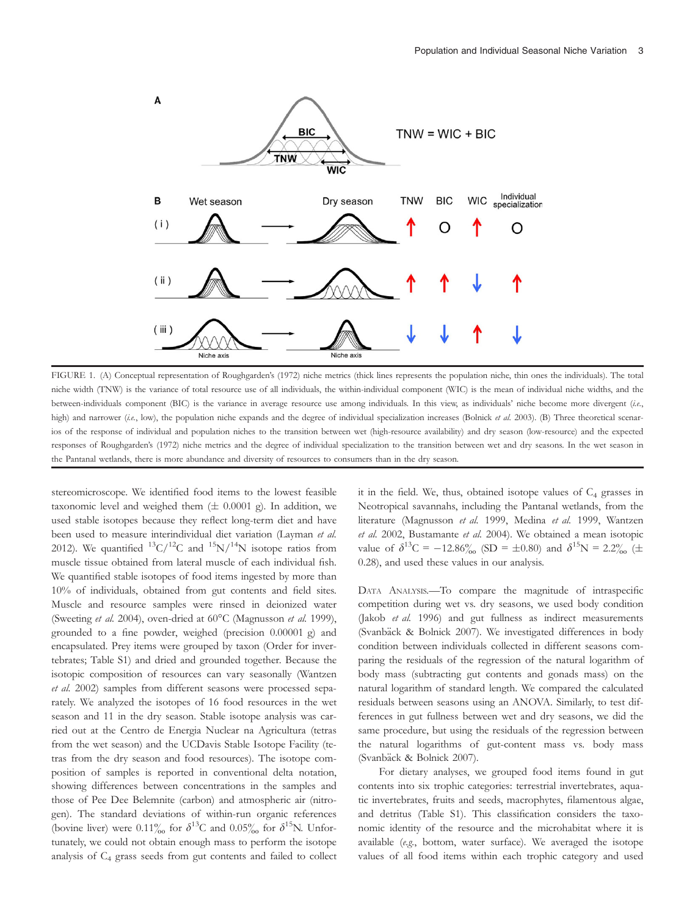

FIGURE 1. (A) Conceptual representation of Roughgarden's (1972) niche metrics (thick lines represents the population niche, thin ones the individuals). The total niche width (TNW) is the variance of total resource use of all individuals, the within-individual component (WIC) is the mean of individual niche widths, and the between-individuals component (BIC) is the variance in average resource use among individuals. In this view, as individuals' niche become more divergent (i.e., high) and narrower (i.e., low), the population niche expands and the degree of individual specialization increases (Bolnick et al. 2003). (B) Three theoretical scenarios of the response of individual and population niches to the transition between wet (high-resource availability) and dry season (low-resource) and the expected responses of Roughgarden's (1972) niche metrics and the degree of individual specialization to the transition between wet and dry seasons. In the wet season in the Pantanal wetlands, there is more abundance and diversity of resources to consumers than in the dry season.

stereomicroscope. We identified food items to the lowest feasible taxonomic level and weighed them  $(\pm 0.0001 \text{ g})$ . In addition, we used stable isotopes because they reflect long-term diet and have been used to measure interindividual diet variation (Layman et al. 2012). We quantified  $^{13}C/^{12}C$  and  $^{15}N/^{14}N$  isotope ratios from muscle tissue obtained from lateral muscle of each individual fish. We quantified stable isotopes of food items ingested by more than 10% of individuals, obtained from gut contents and field sites. Muscle and resource samples were rinsed in deionized water (Sweeting et al. 2004), oven-dried at 60°C (Magnusson et al. 1999), grounded to a fine powder, weighed (precision 0.00001 g) and encapsulated. Prey items were grouped by taxon (Order for invertebrates; Table S1) and dried and grounded together. Because the isotopic composition of resources can vary seasonally (Wantzen et al. 2002) samples from different seasons were processed separately. We analyzed the isotopes of 16 food resources in the wet season and 11 in the dry season. Stable isotope analysis was carried out at the Centro de Energia Nuclear na Agricultura (tetras from the wet season) and the UCDavis Stable Isotope Facility (tetras from the dry season and food resources). The isotope composition of samples is reported in conventional delta notation, showing differences between concentrations in the samples and those of Pee Dee Belemnite (carbon) and atmospheric air (nitrogen). The standard deviations of within-run organic references (bovine liver) were 0.11% for  $\delta^{13}$ C and 0.05% for  $\delta^{15}$ N. Unfortunately, we could not obtain enough mass to perform the isotope analysis of C4 grass seeds from gut contents and failed to collect

it in the field. We, thus, obtained isotope values of  $C_4$  grasses in Neotropical savannahs, including the Pantanal wetlands, from the literature (Magnusson et al. 1999, Medina et al. 1999, Wantzen et al. 2002, Bustamante et al. 2004). We obtained a mean isotopic value of  $\delta^{13}C = -12.86\%$  (SD = ±0.80) and  $\delta^{15}N = 2.2\%$  (± 0.28), and used these values in our analysis.

DATA ANALYSIS.—To compare the magnitude of intraspecific competition during wet vs. dry seasons, we used body condition (Jakob et al. 1996) and gut fullness as indirect measurements (Svanbäck & Bolnick 2007). We investigated differences in body condition between individuals collected in different seasons comparing the residuals of the regression of the natural logarithm of body mass (subtracting gut contents and gonads mass) on the natural logarithm of standard length. We compared the calculated residuals between seasons using an ANOVA. Similarly, to test differences in gut fullness between wet and dry seasons, we did the same procedure, but using the residuals of the regression between the natural logarithms of gut-content mass vs. body mass (Svanbäck & Bolnick 2007).

For dietary analyses, we grouped food items found in gut contents into six trophic categories: terrestrial invertebrates, aquatic invertebrates, fruits and seeds, macrophytes, filamentous algae, and detritus (Table S1). This classification considers the taxonomic identity of the resource and the microhabitat where it is available (e.g., bottom, water surface). We averaged the isotope values of all food items within each trophic category and used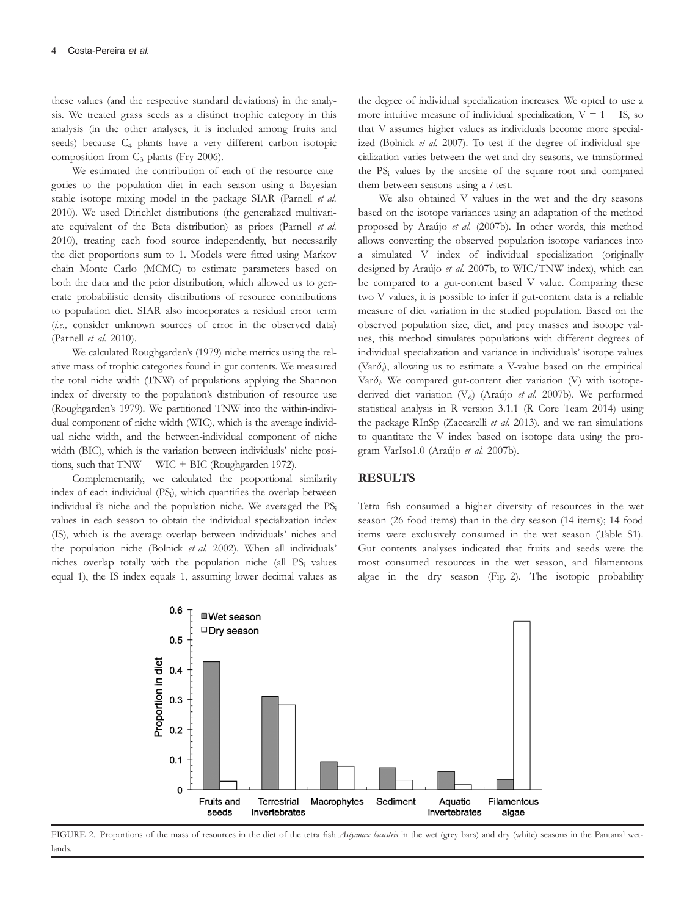these values (and the respective standard deviations) in the analysis. We treated grass seeds as a distinct trophic category in this analysis (in the other analyses, it is included among fruits and seeds) because C<sub>4</sub> plants have a very different carbon isotopic composition from  $C_3$  plants (Fry 2006).

We estimated the contribution of each of the resource categories to the population diet in each season using a Bayesian stable isotope mixing model in the package SIAR (Parnell et al. 2010). We used Dirichlet distributions (the generalized multivariate equivalent of the Beta distribution) as priors (Parnell et al. 2010), treating each food source independently, but necessarily the diet proportions sum to 1. Models were fitted using Markov chain Monte Carlo (MCMC) to estimate parameters based on both the data and the prior distribution, which allowed us to generate probabilistic density distributions of resource contributions to population diet. SIAR also incorporates a residual error term (i.e., consider unknown sources of error in the observed data) (Parnell et al. 2010).

We calculated Roughgarden's (1979) niche metrics using the relative mass of trophic categories found in gut contents. We measured the total niche width (TNW) of populations applying the Shannon index of diversity to the population's distribution of resource use (Roughgarden's 1979). We partitioned TNW into the within-individual component of niche width (WIC), which is the average individual niche width, and the between-individual component of niche width (BIC), which is the variation between individuals' niche positions, such that  $TNW = WIC + BIC$  (Roughgarden 1972).

Complementarily, we calculated the proportional similarity index of each individual (PS<sub>i</sub>), which quantifies the overlap between individual i's niche and the population niche. We averaged the PS<sub>i</sub> values in each season to obtain the individual specialization index (IS), which is the average overlap between individuals' niches and the population niche (Bolnick et al. 2002). When all individuals' niches overlap totally with the population niche (all PS<sub>i</sub> values equal 1), the IS index equals 1, assuming lower decimal values as

the degree of individual specialization increases. We opted to use a more intuitive measure of individual specialization,  $V = 1 - IS$ , so that V assumes higher values as individuals become more specialized (Bolnick et al. 2007). To test if the degree of individual specialization varies between the wet and dry seasons, we transformed the PS<sub>i</sub> values by the arcsine of the square root and compared them between seasons using a *t*-test.

We also obtained V values in the wet and the dry seasons based on the isotope variances using an adaptation of the method proposed by Araújo et al. (2007b). In other words, this method allows converting the observed population isotope variances into a simulated V index of individual specialization (originally designed by Araújo et al. 2007b, to WIC/TNW index), which can be compared to a gut-content based V value. Comparing these two V values, it is possible to infer if gut-content data is a reliable measure of diet variation in the studied population. Based on the observed population size, diet, and prey masses and isotope values, this method simulates populations with different degrees of individual specialization and variance in individuals' isotope values (Var $\delta_i$ ), allowing us to estimate a V-value based on the empirical Var $\delta$ <sub>i</sub>. We compared gut-content diet variation (V) with isotopederived diet variation  $(V_{\delta})$  (Araújo et al. 2007b). We performed statistical analysis in R version 3.1.1 (R Core Team 2014) using the package RInSp (Zaccarelli et al. 2013), and we ran simulations to quantitate the V index based on isotope data using the program VarIso1.0 (Araújo et al. 2007b).

## **RESULTS**

Tetra fish consumed a higher diversity of resources in the wet season (26 food items) than in the dry season (14 items); 14 food items were exclusively consumed in the wet season (Table S1). Gut contents analyses indicated that fruits and seeds were the most consumed resources in the wet season, and filamentous algae in the dry season (Fig. 2). The isotopic probability



FIGURE 2. Proportions of the mass of resources in the diet of the tetra fish Astyanax lacustris in the wet (grey bars) and dry (white) seasons in the Pantanal wetlands.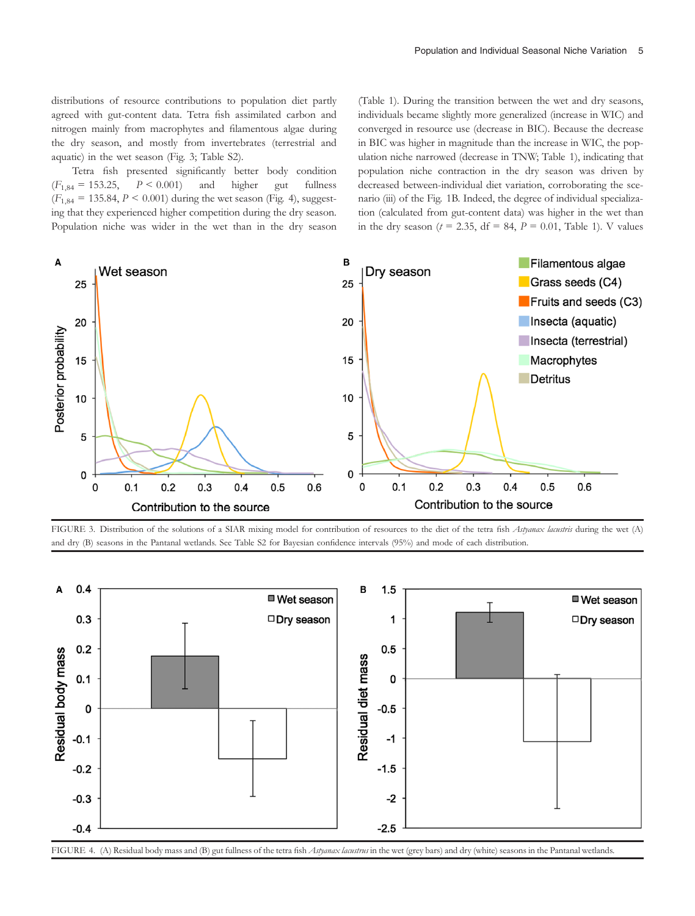distributions of resource contributions to population diet partly agreed with gut-content data. Tetra fish assimilated carbon and nitrogen mainly from macrophytes and filamentous algae during the dry season, and mostly from invertebrates (terrestrial and aquatic) in the wet season (Fig. 3; Table S2).

Tetra fish presented significantly better body condition  $(F<sub>1.84</sub> = 153.25,$   $P < 0.001$  and higher gut fullness  $(F<sub>1,84</sub> = 135.84, P < 0.001)$  during the wet season (Fig. 4), suggesting that they experienced higher competition during the dry season. Population niche was wider in the wet than in the dry season

(Table 1). During the transition between the wet and dry seasons, individuals became slightly more generalized (increase in WIC) and converged in resource use (decrease in BIC). Because the decrease in BIC was higher in magnitude than the increase in WIC, the population niche narrowed (decrease in TNW; Table 1), indicating that population niche contraction in the dry season was driven by decreased between-individual diet variation, corroborating the scenario (iii) of the Fig. 1B. Indeed, the degree of individual specialization (calculated from gut-content data) was higher in the wet than in the dry season ( $t = 2.35$ , df = 84,  $P = 0.01$ , Table 1). V values



FIGURE 3. Distribution of the solutions of a SIAR mixing model for contribution of resources to the diet of the tetra fish Astyanax lacustris during the wet (A) and dry (B) seasons in the Pantanal wetlands. See Table S2 for Bayesian confidence intervals (95%) and mode of each distribution.

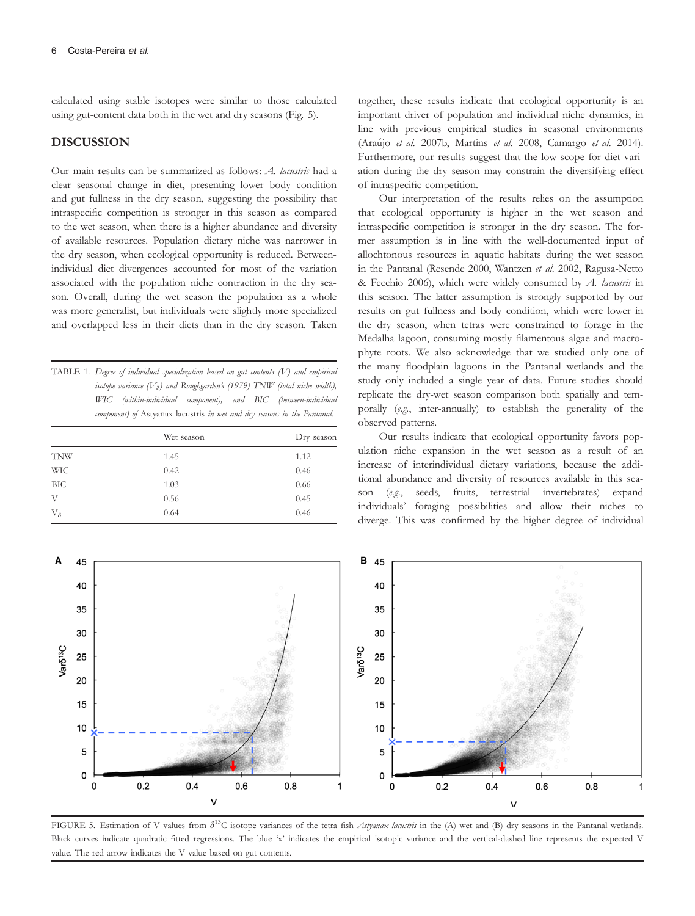calculated using stable isotopes were similar to those calculated using gut-content data both in the wet and dry seasons (Fig. 5).

#### DISCUSSION

Our main results can be summarized as follows: A. lacustris had a clear seasonal change in diet, presenting lower body condition and gut fullness in the dry season, suggesting the possibility that intraspecific competition is stronger in this season as compared to the wet season, when there is a higher abundance and diversity of available resources. Population dietary niche was narrower in the dry season, when ecological opportunity is reduced. Betweenindividual diet divergences accounted for most of the variation associated with the population niche contraction in the dry season. Overall, during the wet season the population as a whole was more generalist, but individuals were slightly more specialized and overlapped less in their diets than in the dry season. Taken

|  | TABLE 1. Degree of individual specialization based on gut contents $(V)$ and empirical |  |  |  |  |
|--|----------------------------------------------------------------------------------------|--|--|--|--|
|  | isotope variance $(V5)$ and Roughgarden's (1979) TNW (total niche width),              |  |  |  |  |
|  | WIC (within-individual component), and BIC (between-individual                         |  |  |  |  |
|  | component) of Astyanax lacustris in wet and dry seasons in the Pantanal.               |  |  |  |  |

|              | Wet season | Dry season |  |  |  |
|--------------|------------|------------|--|--|--|
| <b>TNW</b>   | 1.45       | 1.12       |  |  |  |
| <b>WIC</b>   | 0.42       | 0.46       |  |  |  |
| <b>BIC</b>   | 1.03       | 0.66       |  |  |  |
| V            | 0.56       | 0.45       |  |  |  |
| $V_{\delta}$ | 0.64       | 0.46       |  |  |  |
|              |            |            |  |  |  |

together, these results indicate that ecological opportunity is an important driver of population and individual niche dynamics, in line with previous empirical studies in seasonal environments (Araujo et al. 2007b, Martins et al. 2008, Camargo et al. 2014). Furthermore, our results suggest that the low scope for diet variation during the dry season may constrain the diversifying effect of intraspecific competition.

Our interpretation of the results relies on the assumption that ecological opportunity is higher in the wet season and intraspecific competition is stronger in the dry season. The former assumption is in line with the well-documented input of allochtonous resources in aquatic habitats during the wet season in the Pantanal (Resende 2000, Wantzen et al. 2002, Ragusa-Netto & Fecchio 2006), which were widely consumed by  $A$ . lacustris in this season. The latter assumption is strongly supported by our results on gut fullness and body condition, which were lower in the dry season, when tetras were constrained to forage in the Medalha lagoon, consuming mostly filamentous algae and macrophyte roots. We also acknowledge that we studied only one of the many floodplain lagoons in the Pantanal wetlands and the study only included a single year of data. Future studies should replicate the dry-wet season comparison both spatially and temporally (e.g., inter-annually) to establish the generality of the observed patterns.

Our results indicate that ecological opportunity favors population niche expansion in the wet season as a result of an increase of interindividual dietary variations, because the additional abundance and diversity of resources available in this season (e.g., seeds, fruits, terrestrial invertebrates) expand individuals' foraging possibilities and allow their niches to diverge. This was confirmed by the higher degree of individual



FIGURE 5. Estimation of V values from  $\delta^{13}$ C isotope variances of the tetra fish Astyanax lacustris in the (A) wet and (B) dry seasons in the Pantanal wetlands. Black curves indicate quadratic fitted regressions. The blue 'x' indicates the empirical isotopic variance and the vertical-dashed line represents the expected V value. The red arrow indicates the V value based on gut contents.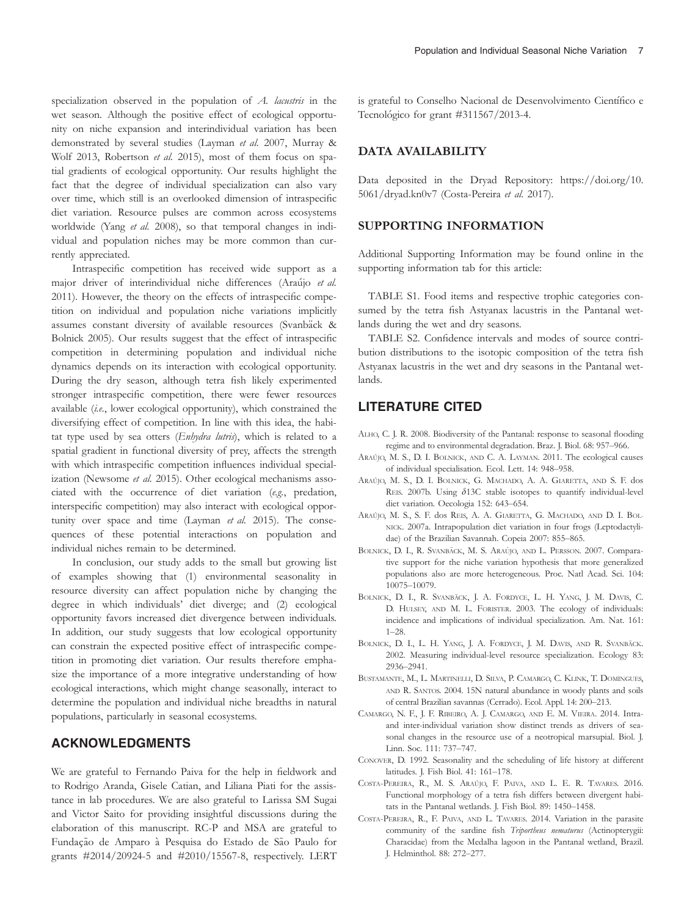specialization observed in the population of A. lacustris in the wet season. Although the positive effect of ecological opportunity on niche expansion and interindividual variation has been demonstrated by several studies (Layman et al. 2007, Murray & Wolf 2013, Robertson et al. 2015), most of them focus on spatial gradients of ecological opportunity. Our results highlight the fact that the degree of individual specialization can also vary over time, which still is an overlooked dimension of intraspecific diet variation. Resource pulses are common across ecosystems worldwide (Yang et al. 2008), so that temporal changes in individual and population niches may be more common than currently appreciated.

Intraspecific competition has received wide support as a major driver of interindividual niche differences (Araujo et al. 2011). However, the theory on the effects of intraspecific competition on individual and population niche variations implicitly assumes constant diversity of available resources (Svanbäck & Bolnick 2005). Our results suggest that the effect of intraspecific competition in determining population and individual niche dynamics depends on its interaction with ecological opportunity. During the dry season, although tetra fish likely experimented stronger intraspecific competition, there were fewer resources available (i.e., lower ecological opportunity), which constrained the diversifying effect of competition. In line with this idea, the habitat type used by sea otters (Enhydra lutris), which is related to a spatial gradient in functional diversity of prey, affects the strength with which intraspecific competition influences individual specialization (Newsome et al. 2015). Other ecological mechanisms associated with the occurrence of diet variation (e.g., predation, interspecific competition) may also interact with ecological opportunity over space and time (Layman et al. 2015). The consequences of these potential interactions on population and individual niches remain to be determined.

In conclusion, our study adds to the small but growing list of examples showing that (1) environmental seasonality in resource diversity can affect population niche by changing the degree in which individuals' diet diverge; and (2) ecological opportunity favors increased diet divergence between individuals. In addition, our study suggests that low ecological opportunity can constrain the expected positive effect of intraspecific competition in promoting diet variation. Our results therefore emphasize the importance of a more integrative understanding of how ecological interactions, which might change seasonally, interact to determine the population and individual niche breadths in natural populations, particularly in seasonal ecosystems.

## ACKNOWLEDGMENTS

We are grateful to Fernando Paiva for the help in fieldwork and to Rodrigo Aranda, Gisele Catian, and Liliana Piati for the assistance in lab procedures. We are also grateful to Larissa SM Sugai and Victor Saito for providing insightful discussions during the elaboration of this manuscript. RC-P and MSA are grateful to Fundação de Amparo à Pesquisa do Estado de São Paulo for grants #2014/20924-5 and #2010/15567-8, respectively. LERT

is grateful to Conselho Nacional de Desenvolvimento Científico e Tecnológico for grant #311567/2013-4.

## DATA AVAILABILITY

Data deposited in the Dryad Repository: [https://doi.org/10.](https://doi.org/10.5061/dryad.kn0v7) [5061/dryad.kn0v7](https://doi.org/10.5061/dryad.kn0v7) (Costa-Pereira et al. 2017).

#### SUPPORTING INFORMATION

Additional Supporting Information may be found online in the supporting information tab for this article:

TABLE S1. Food items and respective trophic categories consumed by the tetra fish Astyanax lacustris in the Pantanal wetlands during the wet and dry seasons.

TABLE S2. Confidence intervals and modes of source contribution distributions to the isotopic composition of the tetra fish Astyanax lacustris in the wet and dry seasons in the Pantanal wetlands.

## LITERATURE CITED

- ALHO, C. J. R. 2008. Biodiversity of the Pantanal: response to seasonal flooding regime and to environmental degradation. Braz. J. Biol. 68: 957–966.
- ARAÚJO, M. S., D. I. BOLNICK, AND C. A. LAYMAN. 2011. The ecological causes of individual specialisation. Ecol. Lett. 14: 948–958.
- ARAÚJO, M. S., D. I. BOLNICK, G. MACHADO, A. A. GIARETTA, AND S. F. dos REIS. 2007b. Using  $\delta$ 13C stable isotopes to quantify individual-level diet variation. Oecologia 152: 643–654.
- ARAÚJO, M. S., S. F. dos REIS, A. A. GIARETTA, G. MACHADO, AND D. I. BOL-NICK. 2007a. Intrapopulation diet variation in four frogs (Leptodactylidae) of the Brazilian Savannah. Copeia 2007: 855–865.
- BOLNICK, D. I., R. SVANBÄCK, M. S. ARAÚJO, AND L. PERSSON. 2007. Comparative support for the niche variation hypothesis that more generalized populations also are more heterogeneous. Proc. Natl Acad. Sci. 104: 10075–10079.
- BOLNICK, D. I., R. SVANBÄCK, J. A. FORDYCE, L. H. YANG, J. M. DAVIS, C. D. HULSEY, AND M. L. FORISTER. 2003. The ecology of individuals: incidence and implications of individual specialization. Am. Nat. 161: 1–28.
- BOLNICK, D. I., L. H. YANG, J. A. FORDYCE, J. M. DAVIS, AND R. SVANBÄCK. 2002. Measuring individual-level resource specialization. Ecology 83: 2936–2941.
- BUSTAMANTE, M., L. MARTINELLI, D. SILVA, P. CAMARGO, C. KLINK, T. DOMINGUES, AND R. SANTOS. 2004. 15N natural abundance in woody plants and soils of central Brazilian savannas (Cerrado). Ecol. Appl. 14: 200–213.
- CAMARGO, N. F., J. F. RIBEIRO, A. J. CAMARGO, AND E. M. VIEIRA. 2014. Intraand inter-individual variation show distinct trends as drivers of seasonal changes in the resource use of a neotropical marsupial. Biol. J. Linn. Soc. 111: 737–747.
- CONOVER, D. 1992. Seasonality and the scheduling of life history at different latitudes. J. Fish Biol. 41: 161–178.
- COSTA-PEREIRA, R., M. S. ARAÚJO, F. PAIVA, AND L. E. R. TAVARES. 2016. Functional morphology of a tetra fish differs between divergent habitats in the Pantanal wetlands. J. Fish Biol. 89: 1450–1458.
- COSTA-PEREIRA, R., F. PAIVA, AND L. TAVARES. 2014. Variation in the parasite community of the sardine fish Triportheus nematurus (Actinopterygii: Characidae) from the Medalha lagoon in the Pantanal wetland, Brazil. J. Helminthol. 88: 272–277.